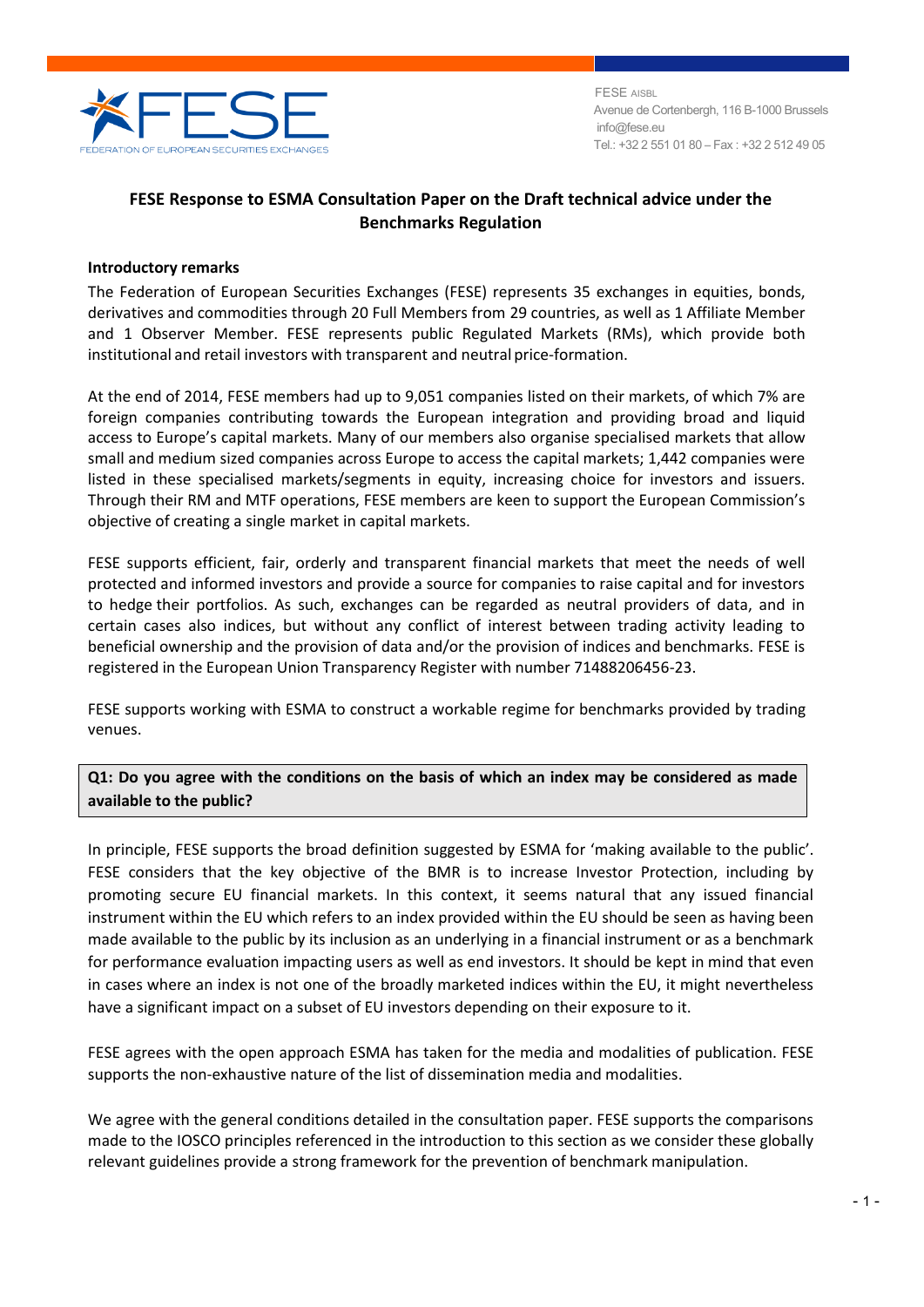

 FESE AISBL Avenue de Cortenbergh, 116 B-1000 Brussels info@fese.eu Tel.: +32 2 551 01 80 – Fax : +32 2 512 49 05

# **FESE Response to ESMA Consultation Paper on the Draft technical advice under the Benchmarks Regulation**

### **Introductory remarks**

The Federation of European Securities Exchanges (FESE) represents 35 exchanges in equities, bonds, derivatives and commodities through 20 Full Members from 29 countries, as well as 1 Affiliate Member and 1 Observer Member. FESE represents public Regulated Markets (RMs), which provide both institutional and retail investors with transparent and neutral price-formation.

At the end of 2014, FESE members had up to 9,051 companies listed on their markets, of which 7% are foreign companies contributing towards the European integration and providing broad and liquid access to Europe's capital markets. Many of our members also organise specialised markets that allow small and medium sized companies across Europe to access the capital markets; 1,442 companies were listed in these specialised markets/segments in equity, increasing choice for investors and issuers. Through their RM and MTF operations, FESE members are keen to support the European Commission's objective of creating a single market in capital markets.

FESE supports efficient, fair, orderly and transparent financial markets that meet the needs of well protected and informed investors and provide a source for companies to raise capital and for investors to hedge their portfolios. As such, exchanges can be regarded as neutral providers of data, and in certain cases also indices, but without any conflict of interest between trading activity leading to beneficial ownership and the provision of data and/or the provision of indices and benchmarks. FESE is registered in the European Union Transparency Register with number 71488206456-23.

FESE supports working with ESMA to construct a workable regime for benchmarks provided by trading venues.

**Q1: Do you agree with the conditions on the basis of which an index may be considered as made available to the public?**

In principle, FESE supports the broad definition suggested by ESMA for 'making available to the public'. FESE considers that the key objective of the BMR is to increase Investor Protection, including by promoting secure EU financial markets. In this context, it seems natural that any issued financial instrument within the EU which refers to an index provided within the EU should be seen as having been made available to the public by its inclusion as an underlying in a financial instrument or as a benchmark for performance evaluation impacting users as well as end investors. It should be kept in mind that even in cases where an index is not one of the broadly marketed indices within the EU, it might nevertheless have a significant impact on a subset of EU investors depending on their exposure to it.

FESE agrees with the open approach ESMA has taken for the media and modalities of publication. FESE supports the non-exhaustive nature of the list of dissemination media and modalities.

We agree with the general conditions detailed in the consultation paper. FESE supports the comparisons made to the IOSCO principles referenced in the introduction to this section as we consider these globally relevant guidelines provide a strong framework for the prevention of benchmark manipulation.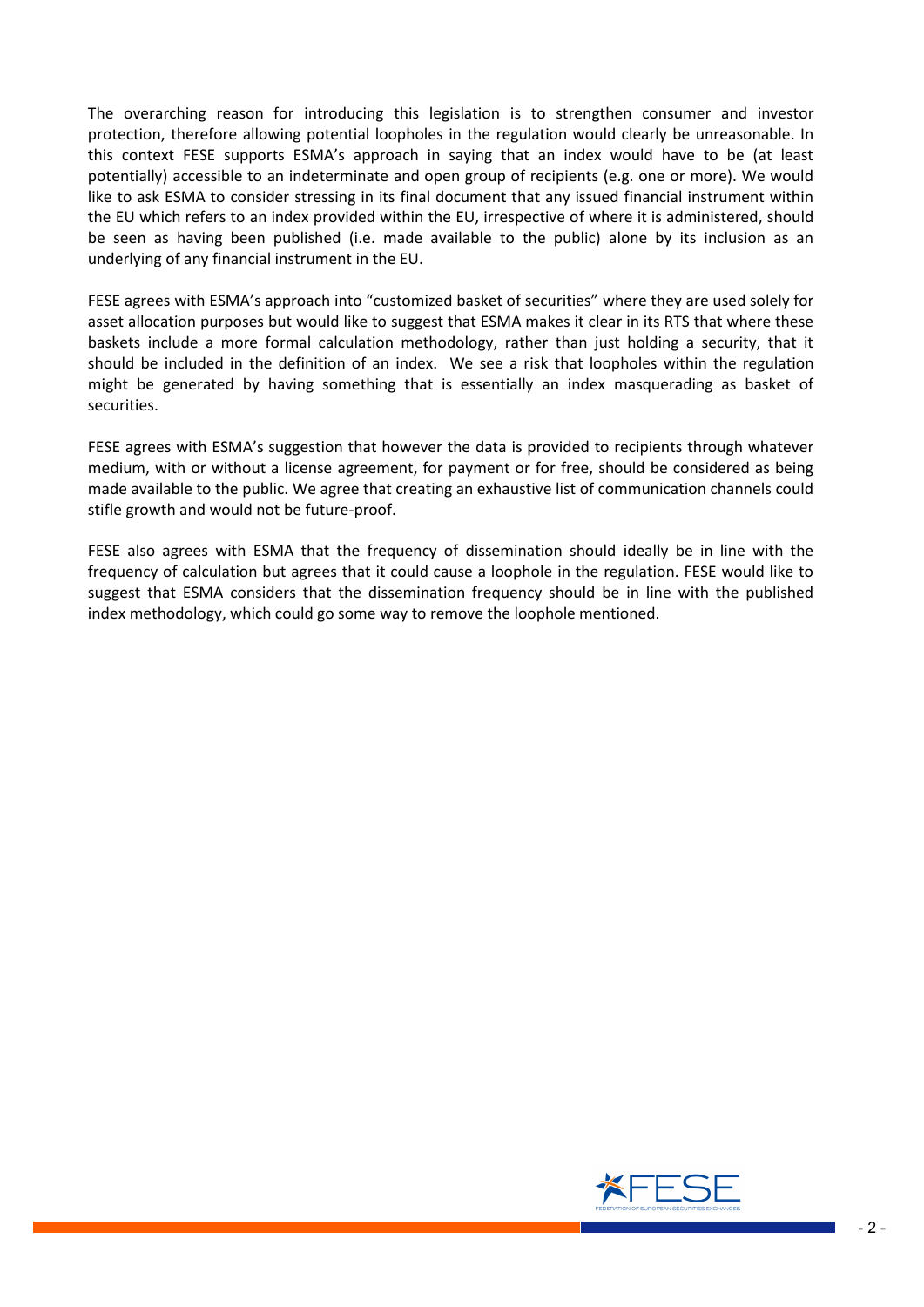The overarching reason for introducing this legislation is to strengthen consumer and investor protection, therefore allowing potential loopholes in the regulation would clearly be unreasonable. In this context FESE supports ESMA's approach in saying that an index would have to be (at least potentially) accessible to an indeterminate and open group of recipients (e.g. one or more). We would like to ask ESMA to consider stressing in its final document that any issued financial instrument within the EU which refers to an index provided within the EU, irrespective of where it is administered, should be seen as having been published (i.e. made available to the public) alone by its inclusion as an underlying of any financial instrument in the EU.

FESE agrees with ESMA's approach into "customized basket of securities" where they are used solely for asset allocation purposes but would like to suggest that ESMA makes it clear in its RTS that where these baskets include a more formal calculation methodology, rather than just holding a security, that it should be included in the definition of an index. We see a risk that loopholes within the regulation might be generated by having something that is essentially an index masquerading as basket of securities.

FESE agrees with ESMA's suggestion that however the data is provided to recipients through whatever medium, with or without a license agreement, for payment or for free, should be considered as being made available to the public. We agree that creating an exhaustive list of communication channels could stifle growth and would not be future-proof.

FESE also agrees with ESMA that the frequency of dissemination should ideally be in line with the frequency of calculation but agrees that it could cause a loophole in the regulation. FESE would like to suggest that ESMA considers that the dissemination frequency should be in line with the published index methodology, which could go some way to remove the loophole mentioned.

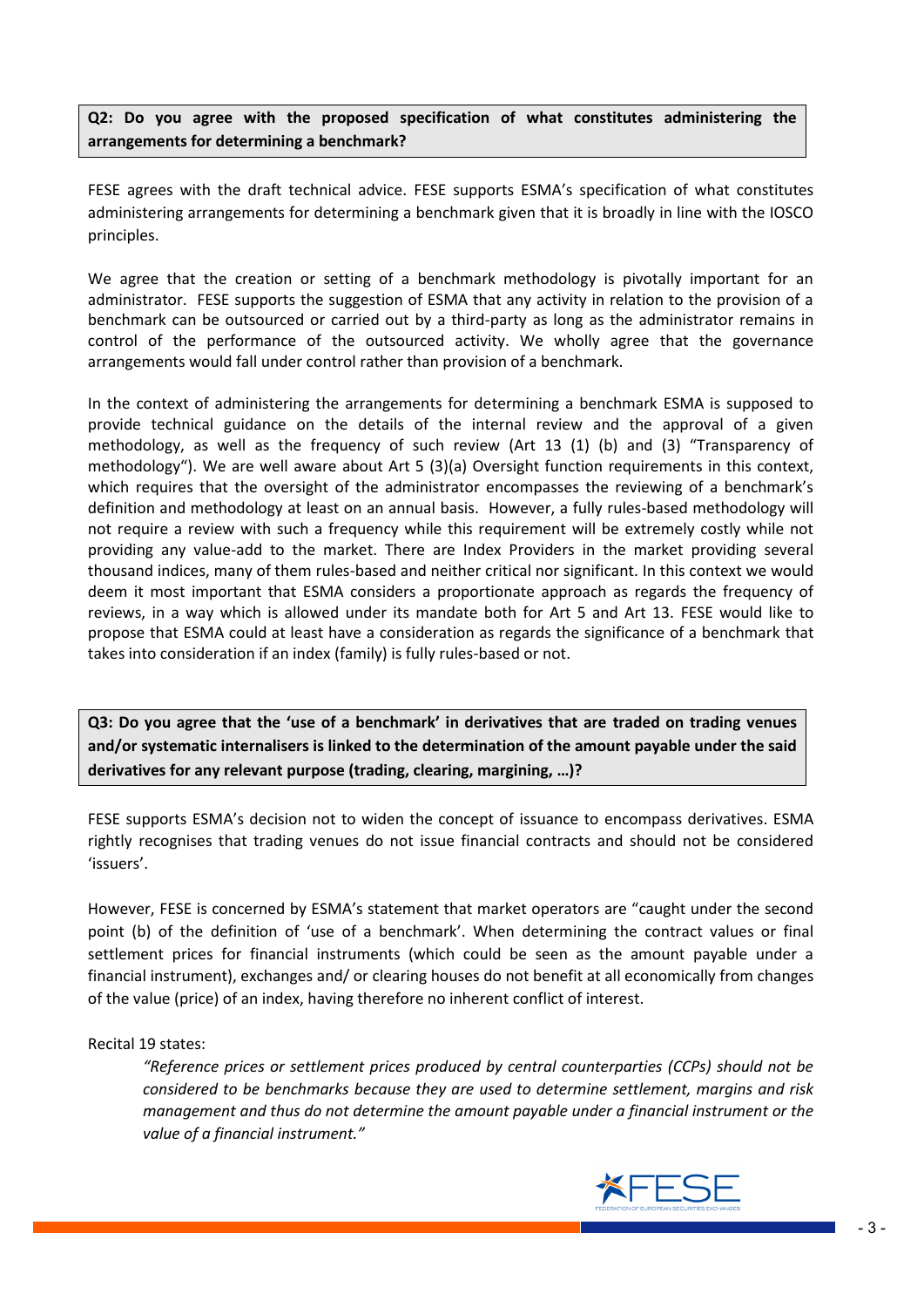**Q2: Do you agree with the proposed specification of what constitutes administering the arrangements for determining a benchmark?**

FESE agrees with the draft technical advice. FESE supports ESMA's specification of what constitutes administering arrangements for determining a benchmark given that it is broadly in line with the IOSCO principles.

We agree that the creation or setting of a benchmark methodology is pivotally important for an administrator. FESE supports the suggestion of ESMA that any activity in relation to the provision of a benchmark can be outsourced or carried out by a third-party as long as the administrator remains in control of the performance of the outsourced activity. We wholly agree that the governance arrangements would fall under control rather than provision of a benchmark.

In the context of administering the arrangements for determining a benchmark ESMA is supposed to provide technical guidance on the details of the internal review and the approval of a given methodology, as well as the frequency of such review (Art 13 (1) (b) and (3) "Transparency of methodology"). We are well aware about Art 5 (3)(a) Oversight function requirements in this context, which requires that the oversight of the administrator encompasses the reviewing of a benchmark's definition and methodology at least on an annual basis. However, a fully rules-based methodology will not require a review with such a frequency while this requirement will be extremely costly while not providing any value-add to the market. There are Index Providers in the market providing several thousand indices, many of them rules-based and neither critical nor significant. In this context we would deem it most important that ESMA considers a proportionate approach as regards the frequency of reviews, in a way which is allowed under its mandate both for Art 5 and Art 13. FESE would like to propose that ESMA could at least have a consideration as regards the significance of a benchmark that takes into consideration if an index (family) is fully rules-based or not.

**Q3: Do you agree that the 'use of a benchmark' in derivatives that are traded on trading venues and/or systematic internalisers is linked to the determination of the amount payable under the said derivatives for any relevant purpose (trading, clearing, margining, …)?**

FESE supports ESMA's decision not to widen the concept of issuance to encompass derivatives. ESMA rightly recognises that trading venues do not issue financial contracts and should not be considered 'issuers'.

However, FESE is concerned by ESMA's statement that market operators are "caught under the second point (b) of the definition of 'use of a benchmark'. When determining the contract values or final settlement prices for financial instruments (which could be seen as the amount payable under a financial instrument), exchanges and/ or clearing houses do not benefit at all economically from changes of the value (price) of an index, having therefore no inherent conflict of interest.

Recital 19 states:

*"Reference prices or settlement prices produced by central counterparties (CCPs) should not be considered to be benchmarks because they are used to determine settlement, margins and risk management and thus do not determine the amount payable under a financial instrument or the value of a financial instrument."* 

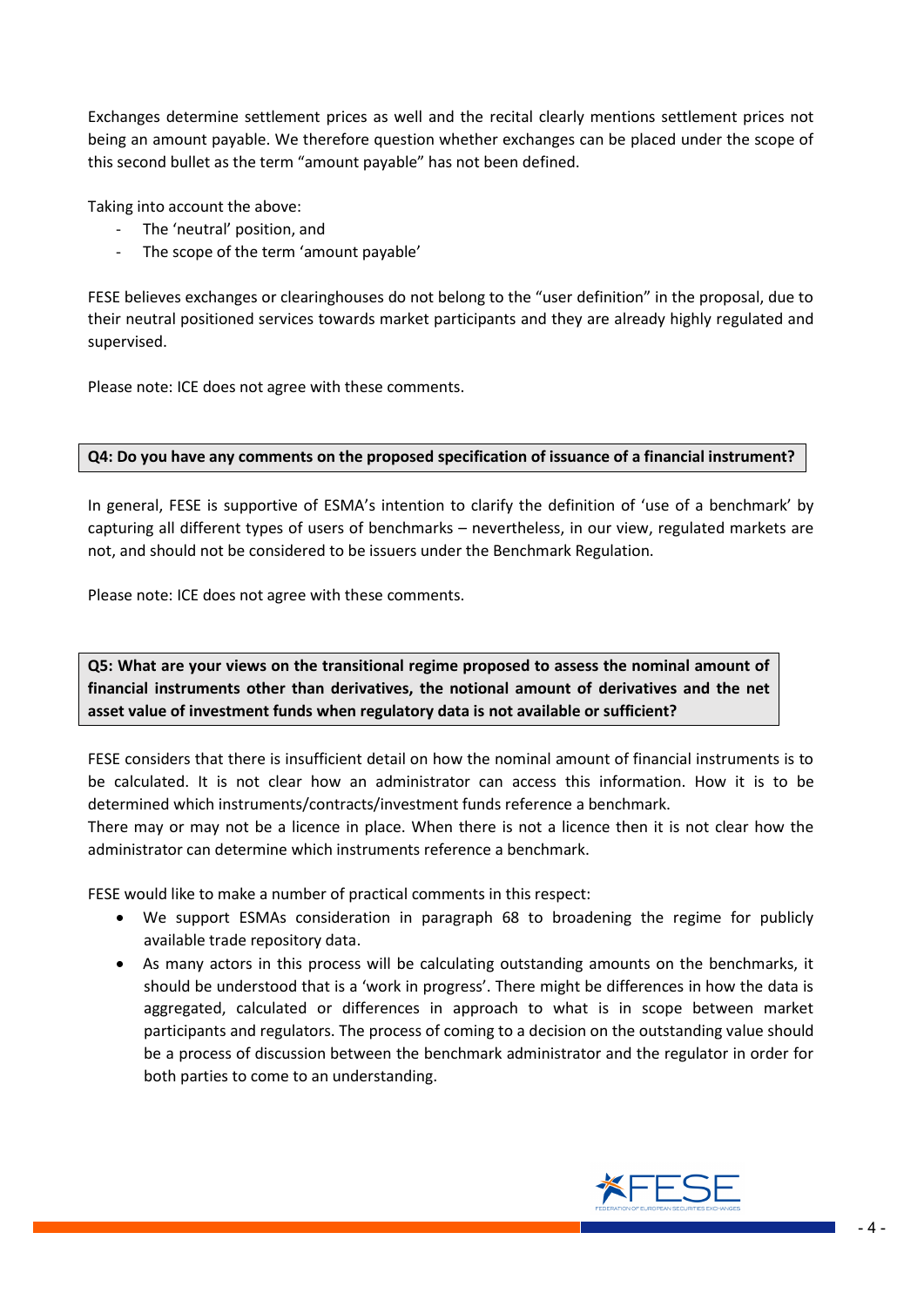Exchanges determine settlement prices as well and the recital clearly mentions settlement prices not being an amount payable. We therefore question whether exchanges can be placed under the scope of this second bullet as the term "amount payable" has not been defined.

Taking into account the above:

- The 'neutral' position, and
- The scope of the term 'amount payable'

FESE believes exchanges or clearinghouses do not belong to the "user definition" in the proposal, due to their neutral positioned services towards market participants and they are already highly regulated and supervised.

Please note: ICE does not agree with these comments.

### **Q4: Do you have any comments on the proposed specification of issuance of a financial instrument?**

In general, FESE is supportive of ESMA's intention to clarify the definition of 'use of a benchmark' by capturing all different types of users of benchmarks – nevertheless, in our view, regulated markets are not, and should not be considered to be issuers under the Benchmark Regulation.

Please note: ICE does not agree with these comments.

**Q5: What are your views on the transitional regime proposed to assess the nominal amount of financial instruments other than derivatives, the notional amount of derivatives and the net asset value of investment funds when regulatory data is not available or sufficient?**

FESE considers that there is insufficient detail on how the nominal amount of financial instruments is to be calculated. It is not clear how an administrator can access this information. How it is to be determined which instruments/contracts/investment funds reference a benchmark.

There may or may not be a licence in place. When there is not a licence then it is not clear how the administrator can determine which instruments reference a benchmark.

FESE would like to make a number of practical comments in this respect:

- We support ESMAs consideration in paragraph 68 to broadening the regime for publicly available trade repository data.
- As many actors in this process will be calculating outstanding amounts on the benchmarks, it should be understood that is a 'work in progress'. There might be differences in how the data is aggregated, calculated or differences in approach to what is in scope between market participants and regulators. The process of coming to a decision on the outstanding value should be a process of discussion between the benchmark administrator and the regulator in order for both parties to come to an understanding.

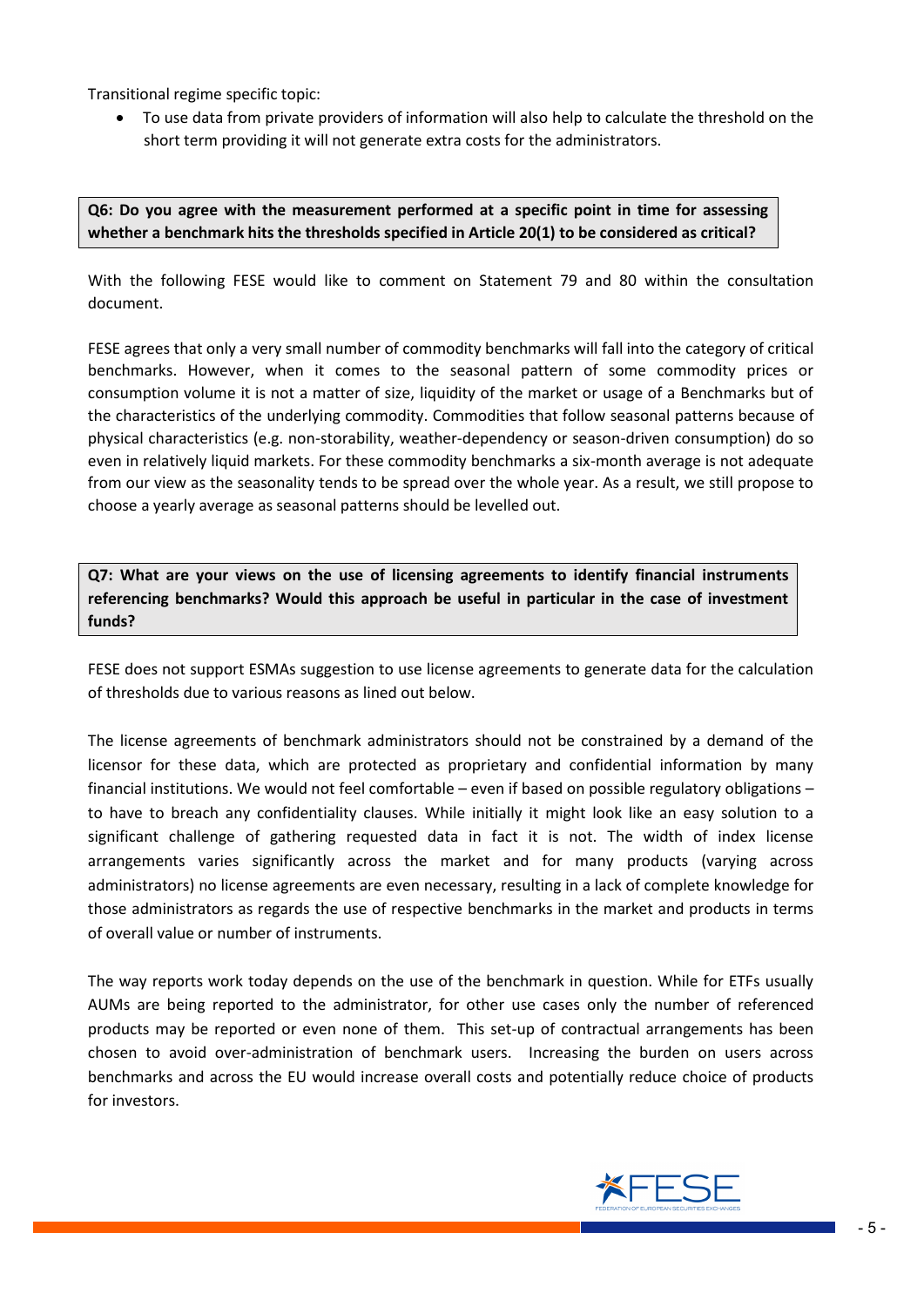Transitional regime specific topic:

 To use data from private providers of information will also help to calculate the threshold on the short term providing it will not generate extra costs for the administrators.

## **Q6: Do you agree with the measurement performed at a specific point in time for assessing whether a benchmark hits the thresholds specified in Article 20(1) to be considered as critical?**

With the following FESE would like to comment on Statement 79 and 80 within the consultation document.

FESE agrees that only a very small number of commodity benchmarks will fall into the category of critical benchmarks. However, when it comes to the seasonal pattern of some commodity prices or consumption volume it is not a matter of size, liquidity of the market or usage of a Benchmarks but of the characteristics of the underlying commodity. Commodities that follow seasonal patterns because of physical characteristics (e.g. non-storability, weather-dependency or season-driven consumption) do so even in relatively liquid markets. For these commodity benchmarks a six-month average is not adequate from our view as the seasonality tends to be spread over the whole year. As a result, we still propose to choose a yearly average as seasonal patterns should be levelled out.

**Q7: What are your views on the use of licensing agreements to identify financial instruments referencing benchmarks? Would this approach be useful in particular in the case of investment funds?**

FESE does not support ESMAs suggestion to use license agreements to generate data for the calculation of thresholds due to various reasons as lined out below.

The license agreements of benchmark administrators should not be constrained by a demand of the licensor for these data, which are protected as proprietary and confidential information by many financial institutions. We would not feel comfortable – even if based on possible regulatory obligations – to have to breach any confidentiality clauses. While initially it might look like an easy solution to a significant challenge of gathering requested data in fact it is not. The width of index license arrangements varies significantly across the market and for many products (varying across administrators) no license agreements are even necessary, resulting in a lack of complete knowledge for those administrators as regards the use of respective benchmarks in the market and products in terms of overall value or number of instruments.

The way reports work today depends on the use of the benchmark in question. While for ETFs usually AUMs are being reported to the administrator, for other use cases only the number of referenced products may be reported or even none of them. This set-up of contractual arrangements has been chosen to avoid over-administration of benchmark users. Increasing the burden on users across benchmarks and across the EU would increase overall costs and potentially reduce choice of products for investors.

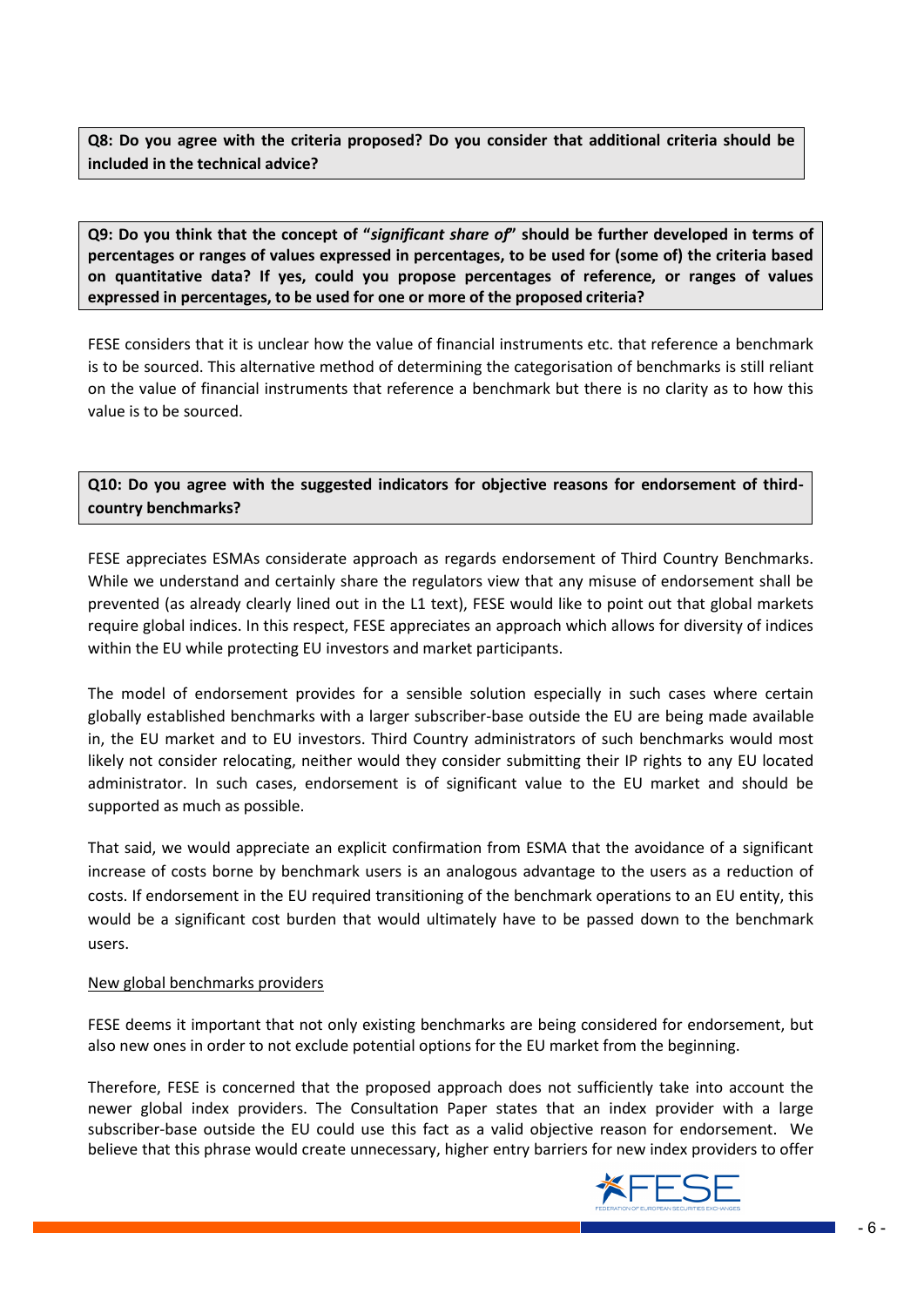**Q8: Do you agree with the criteria proposed? Do you consider that additional criteria should be included in the technical advice?**

**Q9: Do you think that the concept of "***significant share of***" should be further developed in terms of percentages or ranges of values expressed in percentages, to be used for (some of) the criteria based on quantitative data? If yes, could you propose percentages of reference, or ranges of values expressed in percentages, to be used for one or more of the proposed criteria?**

FESE considers that it is unclear how the value of financial instruments etc. that reference a benchmark is to be sourced. This alternative method of determining the categorisation of benchmarks is still reliant on the value of financial instruments that reference a benchmark but there is no clarity as to how this value is to be sourced.

# **Q10: Do you agree with the suggested indicators for objective reasons for endorsement of thirdcountry benchmarks?**

FESE appreciates ESMAs considerate approach as regards endorsement of Third Country Benchmarks. While we understand and certainly share the regulators view that any misuse of endorsement shall be prevented (as already clearly lined out in the L1 text), FESE would like to point out that global markets require global indices. In this respect, FESE appreciates an approach which allows for diversity of indices within the EU while protecting EU investors and market participants.

The model of endorsement provides for a sensible solution especially in such cases where certain globally established benchmarks with a larger subscriber-base outside the EU are being made available in, the EU market and to EU investors. Third Country administrators of such benchmarks would most likely not consider relocating, neither would they consider submitting their IP rights to any EU located administrator. In such cases, endorsement is of significant value to the EU market and should be supported as much as possible.

That said, we would appreciate an explicit confirmation from ESMA that the avoidance of a significant increase of costs borne by benchmark users is an analogous advantage to the users as a reduction of costs. If endorsement in the EU required transitioning of the benchmark operations to an EU entity, this would be a significant cost burden that would ultimately have to be passed down to the benchmark users.

### New global benchmarks providers

FESE deems it important that not only existing benchmarks are being considered for endorsement, but also new ones in order to not exclude potential options for the EU market from the beginning.

Therefore, FESE is concerned that the proposed approach does not sufficiently take into account the newer global index providers. The Consultation Paper states that an index provider with a large subscriber-base outside the EU could use this fact as a valid objective reason for endorsement. We believe that this phrase would create unnecessary, higher entry barriers for new index providers to offer

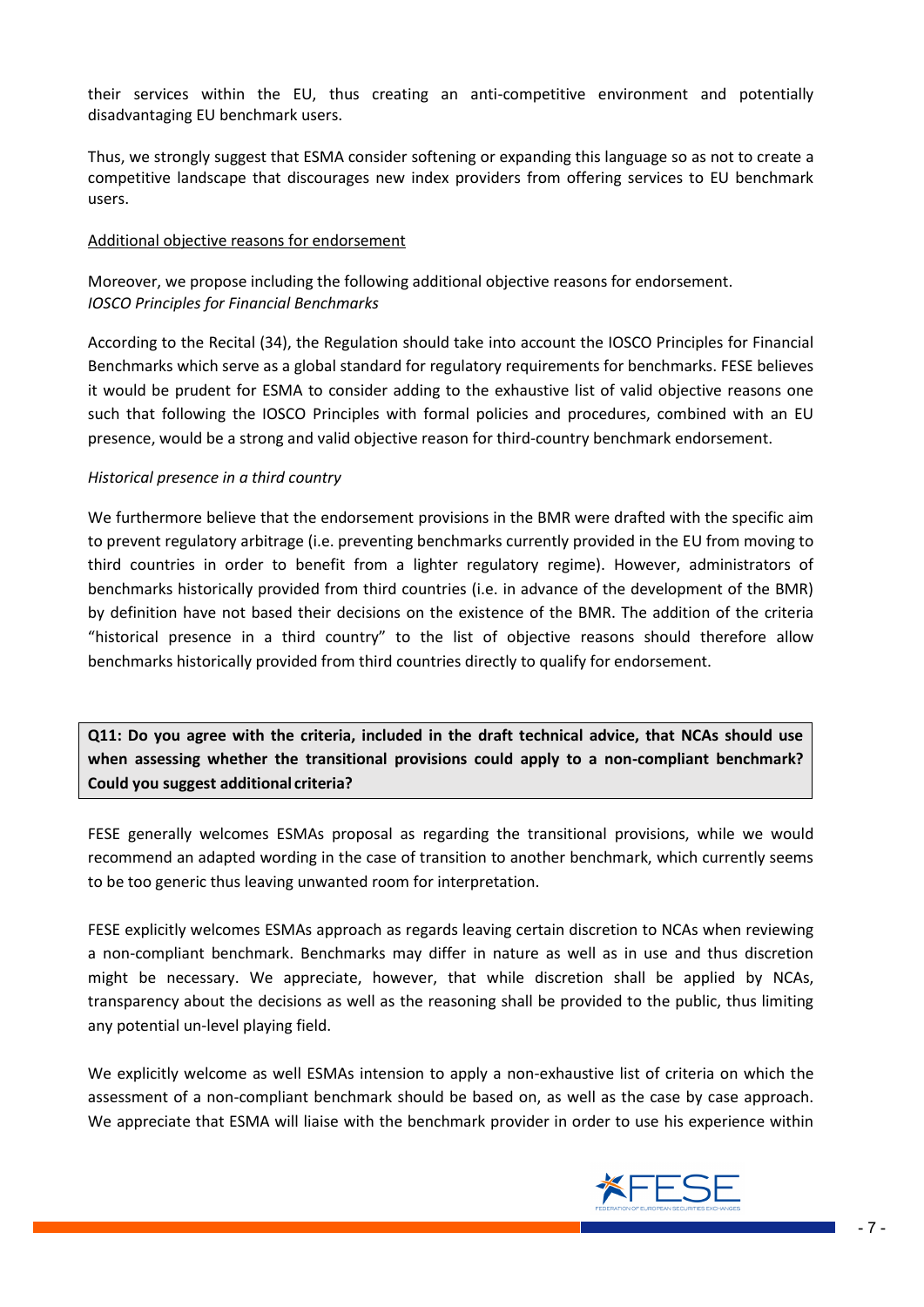their services within the EU, thus creating an anti-competitive environment and potentially disadvantaging EU benchmark users.

Thus, we strongly suggest that ESMA consider softening or expanding this language so as not to create a competitive landscape that discourages new index providers from offering services to EU benchmark users.

### Additional objective reasons for endorsement

Moreover, we propose including the following additional objective reasons for endorsement. *IOSCO Principles for Financial Benchmarks*

According to the Recital (34), the Regulation should take into account the IOSCO Principles for Financial Benchmarks which serve as a global standard for regulatory requirements for benchmarks. FESE believes it would be prudent for ESMA to consider adding to the exhaustive list of valid objective reasons one such that following the IOSCO Principles with formal policies and procedures, combined with an EU presence, would be a strong and valid objective reason for third-country benchmark endorsement.

#### *Historical presence in a third country*

We furthermore believe that the endorsement provisions in the BMR were drafted with the specific aim to prevent regulatory arbitrage (i.e. preventing benchmarks currently provided in the EU from moving to third countries in order to benefit from a lighter regulatory regime). However, administrators of benchmarks historically provided from third countries (i.e. in advance of the development of the BMR) by definition have not based their decisions on the existence of the BMR. The addition of the criteria "historical presence in a third country" to the list of objective reasons should therefore allow benchmarks historically provided from third countries directly to qualify for endorsement.

**Q11: Do you agree with the criteria, included in the draft technical advice, that NCAs should use when assessing whether the transitional provisions could apply to a non-compliant benchmark? Could you suggest additional criteria?**

FESE generally welcomes ESMAs proposal as regarding the transitional provisions, while we would recommend an adapted wording in the case of transition to another benchmark, which currently seems to be too generic thus leaving unwanted room for interpretation.

FESE explicitly welcomes ESMAs approach as regards leaving certain discretion to NCAs when reviewing a non-compliant benchmark. Benchmarks may differ in nature as well as in use and thus discretion might be necessary. We appreciate, however, that while discretion shall be applied by NCAs, transparency about the decisions as well as the reasoning shall be provided to the public, thus limiting any potential un-level playing field.

We explicitly welcome as well ESMAs intension to apply a non-exhaustive list of criteria on which the assessment of a non-compliant benchmark should be based on, as well as the case by case approach. We appreciate that ESMA will liaise with the benchmark provider in order to use his experience within